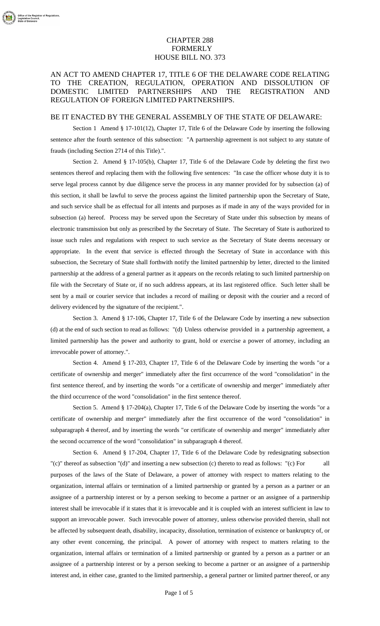## CHAPTER 288 FORMERLY HOUSE BILL NO. 373

## AN ACT TO AMEND CHAPTER 17, TITLE 6 OF THE DELAWARE CODE RELATING TO THE CREATION, REGULATION, OPERATION AND DISSOLUTION OF DOMESTIC LIMITED PARTNERSHIPS AND THE REGISTRATION AND REGULATION OF FOREIGN LIMITED PARTNERSHIPS.

## BE IT ENACTED BY THE GENERAL ASSEMBLY OF THE STATE OF DELAWARE:

Section 1 Amend § 17-101(12), Chapter 17, Title 6 of the Delaware Code by inserting the following sentence after the fourth sentence of this subsection: "A partnership agreement is not subject to any statute of frauds (including Section 2714 of this Title).".

Section 2. Amend § 17-105(b), Chapter 17, Title 6 of the Delaware Code by deleting the first two sentences thereof and replacing them with the following five sentences: "In case the officer whose duty it is to serve legal process cannot by due diligence serve the process in any manner provided for by subsection (a) of this section, it shall be lawful to serve the process against the limited partnership upon the Secretary of State, and such service shall be as effectual for all intents and purposes as if made in any of the ways provided for in subsection (a) hereof. Process may be served upon the Secretary of State under this subsection by means of electronic transmission but only as prescribed by the Secretary of State. The Secretary of State is authorized to issue such rules and regulations with respect to such service as the Secretary of State deems necessary or appropriate. In the event that service is effected through the Secretary of State in accordance with this subsection, the Secretary of State shall forthwith notify the limited partnership by letter, directed to the limited partnership at the address of a general partner as it appears on the records relating to such limited partnership on file with the Secretary of State or, if no such address appears, at its last registered office. Such letter shall be sent by a mail or courier service that includes a record of mailing or deposit with the courier and a record of delivery evidenced by the signature of the recipient.".

Section 3. Amend § 17-106, Chapter 17, Title 6 of the Delaware Code by inserting a new subsection (d) at the end of such section to read as follows: "(d) Unless otherwise provided in a partnership agreement, a limited partnership has the power and authority to grant, hold or exercise a power of attorney, including an irrevocable power of attorney.".

Section 4. Amend § 17-203, Chapter 17, Title 6 of the Delaware Code by inserting the words "or a certificate of ownership and merger" immediately after the first occurrence of the word "consolidation" in the first sentence thereof, and by inserting the words "or a certificate of ownership and merger" immediately after the third occurrence of the word "consolidation" in the first sentence thereof.

Section 5. Amend § 17-204(a), Chapter 17, Title 6 of the Delaware Code by inserting the words "or a certificate of ownership and merger" immediately after the first occurrence of the word "consolidation" in subparagraph 4 thereof, and by inserting the words "or certificate of ownership and merger" immediately after the second occurrence of the word "consolidation" in subparagraph 4 thereof.

Section 6. Amend § 17-204, Chapter 17, Title 6 of the Delaware Code by redesignating subsection "(c)" thereof as subsection "(d)" and inserting a new subsection (c) thereto to read as follows: "(c) For all purposes of the laws of the State of Delaware, a power of attorney with respect to matters relating to the organization, internal affairs or termination of a limited partnership or granted by a person as a partner or an assignee of a partnership interest or by a person seeking to become a partner or an assignee of a partnership interest shall be irrevocable if it states that it is irrevocable and it is coupled with an interest sufficient in law to support an irrevocable power. Such irrevocable power of attorney, unless otherwise provided therein, shall not be affected by subsequent death, disability, incapacity, dissolution, termination of existence or bankruptcy of, or any other event concerning, the principal. A power of attorney with respect to matters relating to the organization, internal affairs or termination of a limited partnership or granted by a person as a partner or an assignee of a partnership interest or by a person seeking to become a partner or an assignee of a partnership interest and, in either case, granted to the limited partnership, a general partner or limited partner thereof, or any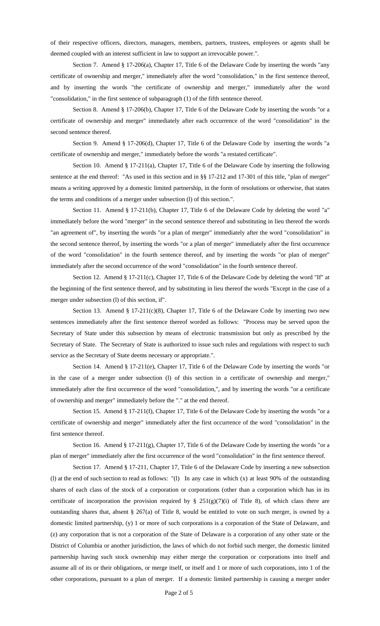of their respective officers, directors, managers, members, partners, trustees, employees or agents shall be deemed coupled with an interest sufficient in law to support an irrevocable power.".

Section 7. Amend § 17-206(a), Chapter 17, Title 6 of the Delaware Code by inserting the words "any certificate of ownership and merger," immediately after the word "consolidation," in the first sentence thereof, and by inserting the words "the certificate of ownership and merger," immediately after the word "consolidation," in the first sentence of subparagraph (1) of the fifth sentence thereof.

Section 8. Amend § 17-206(b), Chapter 17, Title 6 of the Delaware Code by inserting the words "or a certificate of ownership and merger" immediately after each occurrence of the word "consolidation" in the second sentence thereof.

Section 9. Amend § 17-206(d), Chapter 17, Title 6 of the Delaware Code by inserting the words "a certificate of ownership and merger," immediately before the words "a restated certificate".

Section 10. Amend § 17-211(a), Chapter 17, Title 6 of the Delaware Code by inserting the following sentence at the end thereof: "As used in this section and in §§ 17-212 and 17-301 of this title, "plan of merger" means a writing approved by a domestic limited partnership, in the form of resolutions or otherwise, that states the terms and conditions of a merger under subsection (l) of this section.".

Section 11. Amend § 17-211(b), Chapter 17, Title 6 of the Delaware Code by deleting the word "a" immediately before the word "merger" in the second sentence thereof and substituting in lieu thereof the words "an agreement of", by inserting the words "or a plan of merger" immediately after the word "consolidation" in the second sentence thereof, by inserting the words "or a plan of merger" immediately after the first occurrence of the word "consolidation" in the fourth sentence thereof, and by inserting the words "or plan of merger" immediately after the second occurrence of the word "consolidation" in the fourth sentence thereof.

Section 12. Amend § 17-211(c), Chapter 17, Title 6 of the Delaware Code by deleting the word "If" at the beginning of the first sentence thereof, and by substituting in lieu thereof the words "Except in the case of a merger under subsection (l) of this section, if".

Section 13. Amend § 17-211(c)(8), Chapter 17, Title 6 of the Delaware Code by inserting two new sentences immediately after the first sentence thereof worded as follows: "Process may be served upon the Secretary of State under this subsection by means of electronic transmission but only as prescribed by the Secretary of State. The Secretary of State is authorized to issue such rules and regulations with respect to such service as the Secretary of State deems necessary or appropriate.".

Section 14. Amend § 17-211(e), Chapter 17, Title 6 of the Delaware Code by inserting the words "or in the case of a merger under subsection (l) of this section in a certificate of ownership and merger," immediately after the first occurrence of the word "consolidation,", and by inserting the words "or a certificate of ownership and merger" immediately before the "." at the end thereof.

Section 15. Amend § 17-211(f), Chapter 17, Title 6 of the Delaware Code by inserting the words "or a certificate of ownership and merger" immediately after the first occurrence of the word "consolidation" in the first sentence thereof.

Section 16. Amend § 17-211(g), Chapter 17, Title 6 of the Delaware Code by inserting the words "or a plan of merger" immediately after the first occurrence of the word "consolidation" in the first sentence thereof.

Section 17. Amend § 17-211, Chapter 17, Title 6 of the Delaware Code by inserting a new subsection (l) at the end of such section to read as follows: "(l) In any case in which (x) at least 90% of the outstanding shares of each class of the stock of a corporation or corporations (other than a corporation which has in its certificate of incorporation the provision required by  $\S$  251(g)(7)(i) of Title 8), of which class there are outstanding shares that, absent § 267(a) of Title 8, would be entitled to vote on such merger, is owned by a domestic limited partnership, (y) 1 or more of such corporations is a corporation of the State of Delaware, and (z) any corporation that is not a corporation of the State of Delaware is a corporation of any other state or the District of Columbia or another jurisdiction, the laws of which do not forbid such merger, the domestic limited partnership having such stock ownership may either merge the corporation or corporations into itself and assume all of its or their obligations, or merge itself, or itself and 1 or more of such corporations, into 1 of the other corporations, pursuant to a plan of merger. If a domestic limited partnership is causing a merger under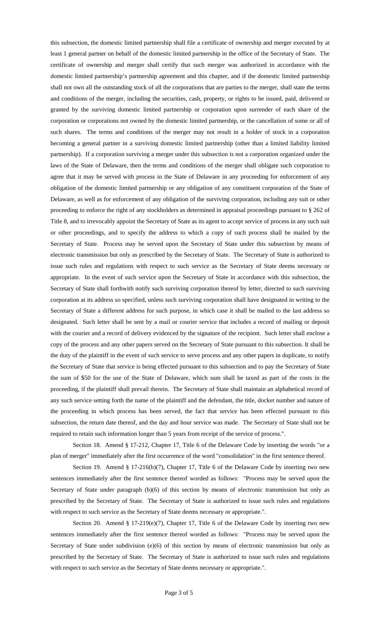this subsection, the domestic limited partnership shall file a certificate of ownership and merger executed by at least 1 general partner on behalf of the domestic limited partnership in the office of the Secretary of State. The certificate of ownership and merger shall certify that such merger was authorized in accordance with the domestic limited partnership's partnership agreement and this chapter, and if the domestic limited partnership shall not own all the outstanding stock of all the corporations that are parties to the merger, shall state the terms and conditions of the merger, including the securities, cash, property, or rights to be issued, paid, delivered or granted by the surviving domestic limited partnership or corporation upon surrender of each share of the corporation or corporations not owned by the domestic limited partnership, or the cancellation of some or all of such shares. The terms and conditions of the merger may not result in a holder of stock in a corporation becoming a general partner in a surviving domestic limited partnership (other than a limited liability limited partnership). If a corporation surviving a merger under this subsection is not a corporation organized under the laws of the State of Delaware, then the terms and conditions of the merger shall obligate such corporation to agree that it may be served with process in the State of Delaware in any proceeding for enforcement of any obligation of the domestic limited partnership or any obligation of any constituent corporation of the State of Delaware, as well as for enforcement of any obligation of the surviving corporation, including any suit or other proceeding to enforce the right of any stockholders as determined in appraisal proceedings pursuant to § 262 of Title 8, and to irrevocably appoint the Secretary of State as its agent to accept service of process in any such suit or other proceedings, and to specify the address to which a copy of such process shall be mailed by the Secretary of State. Process may be served upon the Secretary of State under this subsection by means of electronic transmission but only as prescribed by the Secretary of State. The Secretary of State is authorized to issue such rules and regulations with respect to such service as the Secretary of State deems necessary or appropriate. In the event of such service upon the Secretary of State in accordance with this subsection, the Secretary of State shall forthwith notify such surviving corporation thereof by letter, directed to such surviving corporation at its address so specified, unless such surviving corporation shall have designated in writing to the Secretary of State a different address for such purpose, in which case it shall be mailed to the last address so designated. Such letter shall be sent by a mail or courier service that includes a record of mailing or deposit with the courier and a record of delivery evidenced by the signature of the recipient. Such letter shall enclose a copy of the process and any other papers served on the Secretary of State pursuant to this subsection. It shall be the duty of the plaintiff in the event of such service to serve process and any other papers in duplicate, to notify the Secretary of State that service is being effected pursuant to this subsection and to pay the Secretary of State the sum of \$50 for the use of the State of Delaware, which sum shall be taxed as part of the costs in the proceeding, if the plaintiff shall prevail therein. The Secretary of State shall maintain an alphabetical record of any such service setting forth the name of the plaintiff and the defendant, the title, docket number and nature of the proceeding in which process has been served, the fact that service has been effected pursuant to this subsection, the return date thereof, and the day and hour service was made. The Secretary of State shall not be required to retain such information longer than 5 years from receipt of the service of process.".

Section 18. Amend § 17-212, Chapter 17, Title 6 of the Delaware Code by inserting the words "or a plan of merger" immediately after the first occurrence of the word "consolidation" in the first sentence thereof.

Section 19. Amend § 17-216(b)(7), Chapter 17, Title 6 of the Delaware Code by inserting two new sentences immediately after the first sentence thereof worded as follows: "Process may be served upon the Secretary of State under paragraph (b)(6) of this section by means of electronic transmission but only as prescribed by the Secretary of State. The Secretary of State is authorized to issue such rules and regulations with respect to such service as the Secretary of State deems necessary or appropriate.".

Section 20. Amend § 17-219(e)(7), Chapter 17, Title 6 of the Delaware Code by inserting two new sentences immediately after the first sentence thereof worded as follows: "Process may be served upon the Secretary of State under subdivision (e)(6) of this section by means of electronic transmission but only as prescribed by the Secretary of State. The Secretary of State is authorized to issue such rules and regulations with respect to such service as the Secretary of State deems necessary or appropriate.".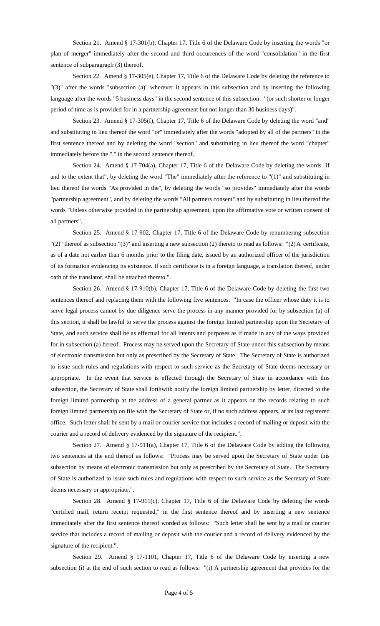Section 21. Amend § 17-301(b), Chapter 17, Title 6 of the Delaware Code by inserting the words "or plan of merger" immediately after the second and third occurrences of the word "consolidation" in the first sentence of subparagraph (3) thereof.

Section 22. Amend § 17-305(e), Chapter 17, Title 6 of the Delaware Code by deleting the reference to "(3)" after the words "subsection (a)" wherever it appears in this subsection and by inserting the following language after the words "5 business days" in the second sentence of this subsection: "(or such shorter or longer period of time as is provided for in a partnership agreement but not longer than 30 business days)".

Section 23. Amend § 17-305(f), Chapter 17, Title 6 of the Delaware Code by deleting the word "and" and substituting in lieu thereof the word "or" immediately after the words "adopted by all of the partners" in the first sentence thereof and by deleting the word "section" and substituting in lieu thereof the word "chapter" immediately before the "." in the second sentence thereof.

Section 24. Amend § 17-704(a), Chapter 17, Title 6 of the Delaware Code by deleting the words "if and to the extent that", by deleting the word "The" immediately after the reference to " $(1)$ " and substituting in lieu thereof the words "As provided in the", by deleting the words "so provides" immediately after the words "partnership agreement", and by deleting the words "All partners consent" and by substituting in lieu thereof the words "Unless otherwise provided in the partnership agreement, upon the affirmative vote or written consent of all partners".

Section 25. Amend § 17-902, Chapter 17, Title 6 of the Delaware Code by renumbering subsection "(2)" thereof as subsection "(3)" and inserting a new subsection (2) thereto to read as follows: "(2) A certificate, as of a date not earlier than 6 months prior to the filing date, issued by an authorized officer of the jurisdiction of its formation evidencing its existence. If such certificate is in a foreign language, a translation thereof, under oath of the translator, shall be attached thereto.".

Section 26. Amend § 17-910(b), Chapter 17, Title 6 of the Delaware Code by deleting the first two sentences thereof and replacing them with the following five sentences: "In case the officer whose duty it is to serve legal process cannot by due diligence serve the process in any manner provided for by subsection (a) of this section, it shall be lawful to serve the process against the foreign limited partnership upon the Secretary of State, and such service shall be as effectual for all intents and purposes as if made in any of the ways provided for in subsection (a) hereof. Process may be served upon the Secretary of State under this subsection by means of electronic transmission but only as prescribed by the Secretary of State. The Secretary of State is authorized to issue such rules and regulations with respect to such service as the Secretary of State deems necessary or appropriate. In the event that service is effected through the Secretary of State in accordance with this subsection, the Secretary of State shall forthwith notify the foreign limited partnership by letter, directed to the foreign limited partnership at the address of a general partner as it appears on the records relating to such foreign limited partnership on file with the Secretary of State or, if no such address appears, at its last registered office. Such letter shall be sent by a mail or courier service that includes a record of mailing or deposit with the courier and a record of delivery evidenced by the signature of the recipient.".

Section 27. Amend § 17-911(a), Chapter 17, Title 6 of the Delaware Code by adding the following two sentences at the end thereof as follows: "Process may be served upon the Secretary of State under this subsection by means of electronic transmission but only as prescribed by the Secretary of State. The Secretary of State is authorized to issue such rules and regulations with respect to such service as the Secretary of State deems necessary or appropriate.".

Section 28. Amend § 17-911(c), Chapter 17, Title 6 of the Delaware Code by deleting the words "certified mail, return receipt requested," in the first sentence thereof and by inserting a new sentence immediately after the first sentence thereof worded as follows: "Such letter shall be sent by a mail or courier service that includes a record of mailing or deposit with the courier and a record of delivery evidenced by the signature of the recipient.".

Section 29. Amend § 17-1101, Chapter 17, Title 6 of the Delaware Code by inserting a new subsection (i) at the end of such section to read as follows: "(i) A partnership agreement that provides for the